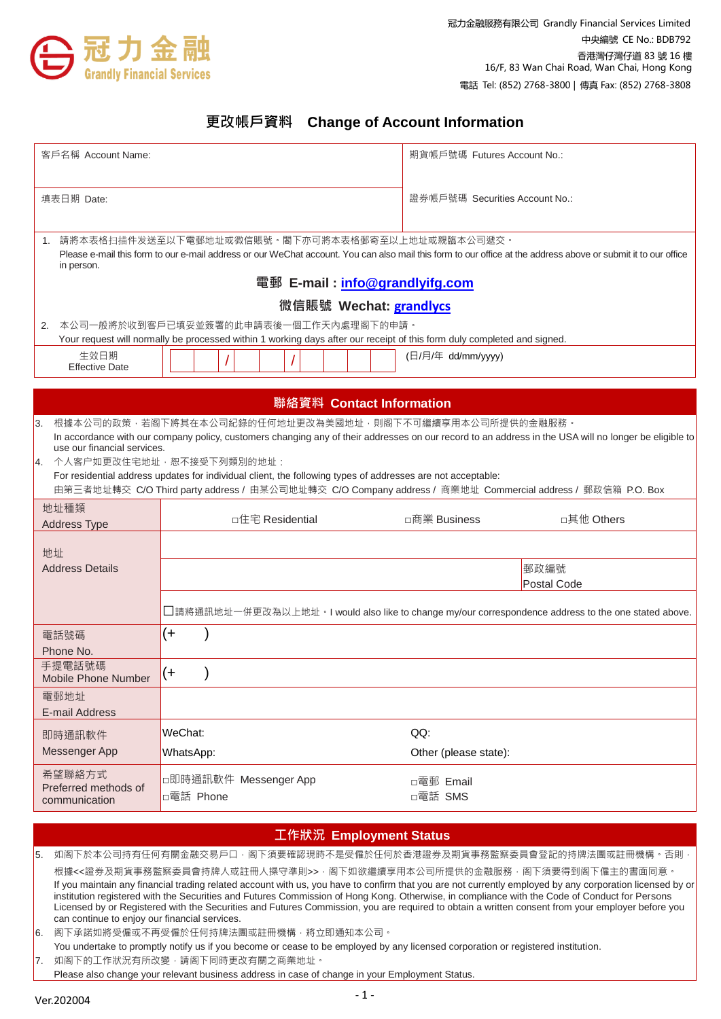

## **更改帳戶資料 Change of Account Information**

| 客戶名稱 Account Name:                                                                                                                                                                                                    |                                                                                                             | 期貨帳戶號碼 Futures Account No.:                                                                               |  |  |  |  |  |  |  |
|-----------------------------------------------------------------------------------------------------------------------------------------------------------------------------------------------------------------------|-------------------------------------------------------------------------------------------------------------|-----------------------------------------------------------------------------------------------------------|--|--|--|--|--|--|--|
| 填表日期 Date:                                                                                                                                                                                                            |                                                                                                             | 證券帳戶號碼 Securities Account No.:                                                                            |  |  |  |  |  |  |  |
| 1.                                                                                                                                                                                                                    | 請將本表格扫描件发送至以下電郵地址或微信賬號。閣下亦可將本表格郵寄至以上地址或親臨本公司遞交。                                                             |                                                                                                           |  |  |  |  |  |  |  |
| Please e-mail this form to our e-mail address or our WeChat account. You can also mail this form to our office at the address above or submit it to our office<br>in person.                                          |                                                                                                             |                                                                                                           |  |  |  |  |  |  |  |
| 電郵 E-mail : <u>info@grandlyifg.com</u>                                                                                                                                                                                |                                                                                                             |                                                                                                           |  |  |  |  |  |  |  |
| 微信賬號 Wechat: grandlycs                                                                                                                                                                                                |                                                                                                             |                                                                                                           |  |  |  |  |  |  |  |
| 本公司一般將於收到客戶已填妥並簽署的此申請表後一個工作天內處理阁下的申請。<br>Your request will normally be processed within 1 working days after our receipt of this form duly completed and signed.                                                      |                                                                                                             |                                                                                                           |  |  |  |  |  |  |  |
| 生效日期<br><b>Effective Date</b>                                                                                                                                                                                         |                                                                                                             | (日/月/年 dd/mm/yyyy)                                                                                        |  |  |  |  |  |  |  |
|                                                                                                                                                                                                                       |                                                                                                             |                                                                                                           |  |  |  |  |  |  |  |
| 聯絡資料 Contact Information                                                                                                                                                                                              |                                                                                                             |                                                                                                           |  |  |  |  |  |  |  |
| 3.<br>根據本公司的政策,若阁下將其在本公司紀錄的任何地址更改為美國地址,則阁下不可繼續享用本公司所提供的金融服務。<br>In accordance with our company policy, customers changing any of their addresses on our record to an address in the USA will no longer be eligible to |                                                                                                             |                                                                                                           |  |  |  |  |  |  |  |
| use our financial services.                                                                                                                                                                                           |                                                                                                             |                                                                                                           |  |  |  |  |  |  |  |
| 4.                                                                                                                                                                                                                    | 个人客户如更改住宅地址,恕不接受下列類別的地址:                                                                                    |                                                                                                           |  |  |  |  |  |  |  |
|                                                                                                                                                                                                                       | For residential address updates for individual client, the following types of addresses are not acceptable: | 由第三者地址轉交 C/O Third party address / 由某公司地址轉交 C/O Company address / 商業地址 Commercial address / 郵政信箱 P.O. Box |  |  |  |  |  |  |  |
| 地址種類                                                                                                                                                                                                                  |                                                                                                             |                                                                                                           |  |  |  |  |  |  |  |
| <b>Address Type</b>                                                                                                                                                                                                   | □住宅 Residential                                                                                             | □商業 Business<br>□其他 Others                                                                                |  |  |  |  |  |  |  |
| 地址                                                                                                                                                                                                                    |                                                                                                             |                                                                                                           |  |  |  |  |  |  |  |
| <b>Address Details</b>                                                                                                                                                                                                | 郵政編號                                                                                                        |                                                                                                           |  |  |  |  |  |  |  |
|                                                                                                                                                                                                                       | Postal Code                                                                                                 |                                                                                                           |  |  |  |  |  |  |  |
|                                                                                                                                                                                                                       |                                                                                                             |                                                                                                           |  |  |  |  |  |  |  |
|                                                                                                                                                                                                                       |                                                                                                             | □請將通訊地址一併更改為以上地址 。I would also like to change my/our correspondence address to the one stated above.      |  |  |  |  |  |  |  |
| 電話號碼                                                                                                                                                                                                                  | $^{(+)}$                                                                                                    |                                                                                                           |  |  |  |  |  |  |  |
| Phone No.<br>手提電話號碼                                                                                                                                                                                                   |                                                                                                             |                                                                                                           |  |  |  |  |  |  |  |
| Mobile Phone Number                                                                                                                                                                                                   | $\parallel$ (+                                                                                              |                                                                                                           |  |  |  |  |  |  |  |
| 電郵地址                                                                                                                                                                                                                  |                                                                                                             |                                                                                                           |  |  |  |  |  |  |  |
| E-mail Address                                                                                                                                                                                                        |                                                                                                             |                                                                                                           |  |  |  |  |  |  |  |
| 即時通訊軟件                                                                                                                                                                                                                | WeChat:                                                                                                     | QQ:                                                                                                       |  |  |  |  |  |  |  |
| Messenger App                                                                                                                                                                                                         | WhatsApp:                                                                                                   | Other (please state):                                                                                     |  |  |  |  |  |  |  |
| 希望聯絡方式                                                                                                                                                                                                                | □即時通訊軟件 Messenger App                                                                                       | □電郵 Email                                                                                                 |  |  |  |  |  |  |  |
| Preferred methods of<br>communication                                                                                                                                                                                 | □電話 Phone                                                                                                   | □電話 SMS                                                                                                   |  |  |  |  |  |  |  |
|                                                                                                                                                                                                                       |                                                                                                             |                                                                                                           |  |  |  |  |  |  |  |
|                                                                                                                                                                                                                       |                                                                                                             |                                                                                                           |  |  |  |  |  |  |  |

## **工作狀況 Employment Status**

5. 如阁下於本公司持有任何有關金融交易戶口,阁下須要確認現時不是受僱於任何於香港證券及期貨事務監察委員會登記的持牌法團或註冊機構。否則, 根據<<證券及期貨事務監察委員會持牌人或註冊人操守準則>>,阁下如欲繼續享用本公司所提供的金融服務,阁下須要得到阁下僱主的書面同意。 If you maintain any financial trading related account with us, you have to confirm that you are not currently employed by any corporation licensed by or institution registered with the Securities and Futures Commission of Hong Kong. Otherwise, in compliance with the Code of Conduct for Persons Licensed by or Registered with the Securities and Futures Commission, you are required to obtain a written consent from your employer before you

can continue to enjoy our financial services. 6. 阁下承諾如將受僱或不再受僱於任何持牌法團或註冊機構,將立即通知本公司。

You undertake to promptly notify us if you become or cease to be employed by any licensed corporation or registered institution. 7. 如阁下的工作狀況有所改變,請阁下同時更改有關之商業地址。

Please also change your relevant business address in case of change in your Employment Status.